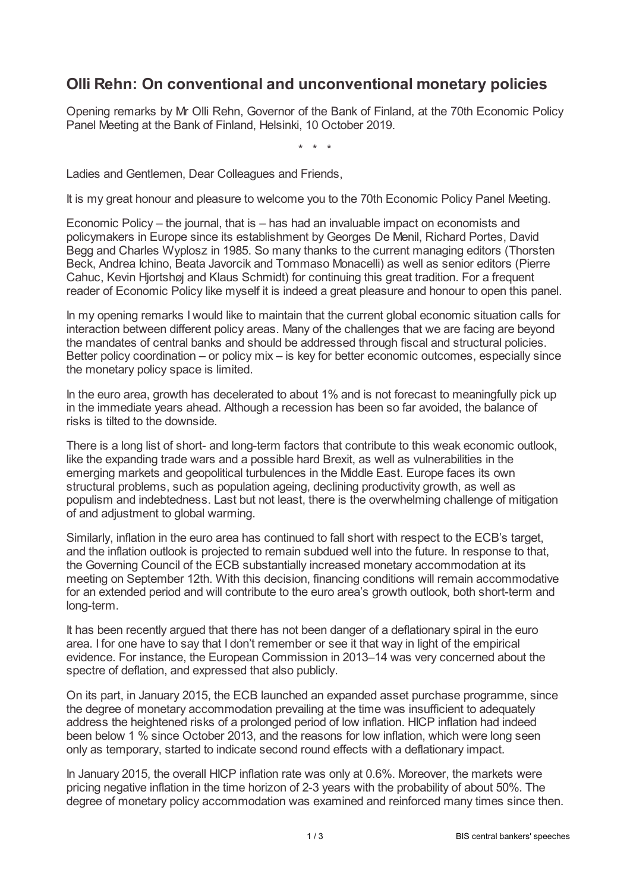## **Olli Rehn: On conventional and unconventional monetary policies**

Opening remarks by Mr Olli Rehn, Governor of the Bank of Finland, at the 70th Economic Policy Panel Meeting at the Bank of Finland, Helsinki, 10 October 2019.

\* \* \*

Ladies and Gentlemen, Dear Colleagues and Friends,

It is my great honour and pleasure to welcome you to the 70th Economic Policy Panel Meeting.

Economic Policy – the journal, that is – has had an invaluable impact on economists and policymakers in Europe since its establishment by Georges De Menil, Richard Portes, David Begg and Charles Wyplosz in 1985. So many thanks to the current managing editors (Thorsten Beck, Andrea Ichino, Beata Javorcik and Tommaso Monacelli) as well as senior editors (Pierre Cahuc, Kevin Hjortshøj and Klaus Schmidt) for continuing this great tradition. For a frequent reader of Economic Policy like myself it is indeed a great pleasure and honour to open this panel.

In my opening remarks I would like to maintain that the current global economic situation calls for interaction between different policy areas. Many of the challenges that we are facing are beyond the mandates of central banks and should be addressed through fiscal and structural policies. Better policy coordination – or policy mix – is key for better economic outcomes, especially since the monetary policy space is limited.

In the euro area, growth has decelerated to about 1% and is not forecast to meaningfully pick up in the immediate years ahead. Although a recession has been so far avoided, the balance of risks is tilted to the downside.

There is a long list of short- and long-term factors that contribute to this weak economic outlook, like the expanding trade wars and a possible hard Brexit, as well as vulnerabilities in the emerging markets and geopolitical turbulences in the Middle East. Europe faces its own structural problems, such as population ageing, declining productivity growth, as well as populism and indebtedness. Last but not least, there is the overwhelming challenge of mitigation of and adjustment to global warming.

Similarly, inflation in the euro area has continued to fall short with respect to the ECB's target, and the inflation outlook is projected to remain subdued well into the future. In response to that, the Governing Council of the ECB substantially increased monetary accommodation at its meeting on September 12th. With this decision, financing conditions will remain accommodative for an extended period and will contribute to the euro area's growth outlook, both short-term and long-term.

It has been recently argued that there has not been danger of a deflationary spiral in the euro area. I for one have to say that I don't remember or see it that way in light of the empirical evidence. For instance, the European Commission in 2013–14 was very concerned about the spectre of deflation, and expressed that also publicly.

On its part, in January 2015, the ECB launched an expanded asset purchase programme, since the degree of monetary accommodation prevailing at the time was insufficient to adequately address the heightened risks of a prolonged period of low inflation. HICP inflation had indeed been below 1 % since October 2013, and the reasons for low inflation, which were long seen only as temporary, started to indicate second round effects with a deflationary impact.

In January 2015, the overall HICP inflation rate was only at 0.6%. Moreover, the markets were pricing negative inflation in the time horizon of 2-3 years with the probability of about 50%. The degree of monetary policy accommodation was examined and reinforced many times since then.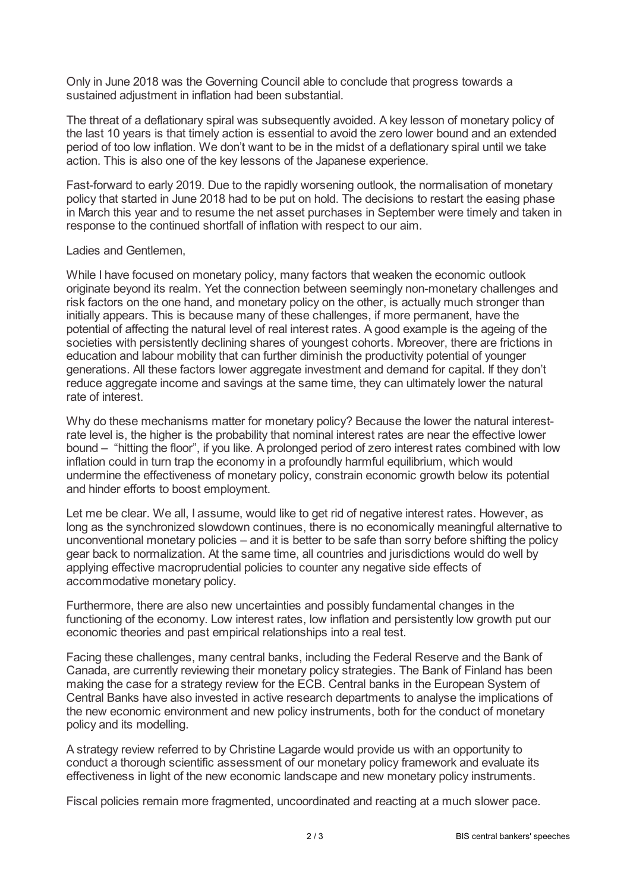Only in June 2018 was the Governing Council able to conclude that progress towards a sustained adjustment in inflation had been substantial.

The threat of a deflationary spiral was subsequently avoided. A key lesson of monetary policy of the last 10 years is that timely action is essential to avoid the zero lower bound and an extended period of too low inflation. We don't want to be in the midst of a deflationary spiral until we take action. This is also one of the key lessons of the Japanese experience.

Fast-forward to early 2019. Due to the rapidly worsening outlook, the normalisation of monetary policy that started in June 2018 had to be put on hold. The decisions to restart the easing phase in March this year and to resume the net asset purchases in September were timely and taken in response to the continued shortfall of inflation with respect to our aim.

## Ladies and Gentlemen,

While I have focused on monetary policy, many factors that weaken the economic outlook originate beyond its realm. Yet the connection between seemingly non-monetary challenges and risk factors on the one hand, and monetary policy on the other, is actually much stronger than initially appears. This is because many of these challenges, if more permanent, have the potential of affecting the natural level of real interest rates. A good example is the ageing of the societies with persistently declining shares of youngest cohorts. Moreover, there are frictions in education and labour mobility that can further diminish the productivity potential of younger generations. All these factors lower aggregate investment and demand for capital. If they don't reduce aggregate income and savings at the same time, they can ultimately lower the natural rate of interest.

Why do these mechanisms matter for monetary policy? Because the lower the natural interestrate level is, the higher is the probability that nominal interest rates are near the effective lower bound – "hitting the floor", if you like. A prolonged period of zero interest rates combined with low inflation could in turn trap the economy in a profoundly harmful equilibrium, which would undermine the effectiveness of monetary policy, constrain economic growth below its potential and hinder efforts to boost employment.

Let me be clear. We all, I assume, would like to get rid of negative interest rates. However, as long as the synchronized slowdown continues, there is no economically meaningful alternative to unconventional monetary policies – and it is better to be safe than sorry before shifting the policy gear back to normalization. At the same time, all countries and jurisdictions would do well by applying effective macroprudential policies to counter any negative side effects of accommodative monetary policy.

Furthermore, there are also new uncertainties and possibly fundamental changes in the functioning of the economy. Low interest rates, low inflation and persistently low growth put our economic theories and past empirical relationships into a real test.

Facing these challenges, many central banks, including the Federal Reserve and the Bank of Canada, are currently reviewing their monetary policy strategies. The Bank of Finland has been making the case for a strategy review for the ECB. Central banks in the European System of Central Banks have also invested in active research departments to analyse the implications of the new economic environment and new policy instruments, both for the conduct of monetary policy and its modelling.

A strategy review referred to by Christine Lagarde would provide us with an opportunity to conduct a thorough scientific assessment of our monetary policy framework and evaluate its effectiveness in light of the new economic landscape and new monetary policy instruments.

Fiscal policies remain more fragmented, uncoordinated and reacting at a much slower pace.